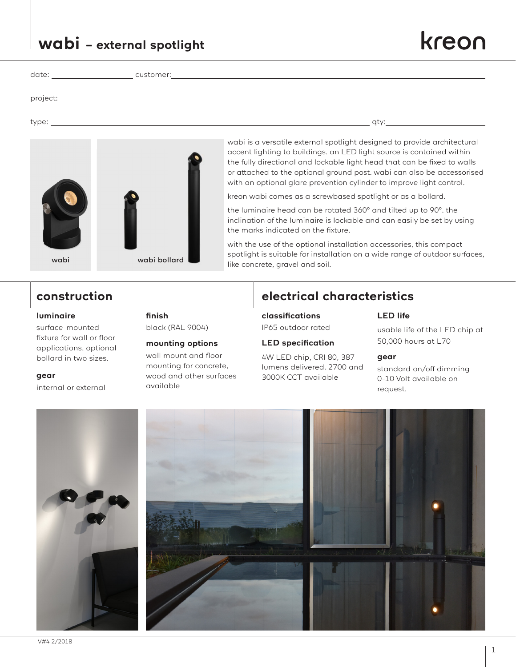1

# **wabi – external spotlight**

| date: | customer: |
|-------|-----------|

project:

type: qty:

accent lighting to buildings. an LED light source is contained within the fully directional and lockable light head that can be fixed to walls or attached to the optional ground post. wabi can also be accessorised with an optional glare prevention cylinder to improve light control. kreon wabi comes as a screwbased spotlight or as a bollard.

the luminaire head can be rotated 360° and tilted up to 90°. the inclination of the luminaire is lockable and can easily be set by using the marks indicated on the fixture.

wabi is a versatile external spotlight designed to provide architectural

with the use of the optional installation accessories, this compact spotlight is suitable for installation on a wide range of outdoor surfaces, like concrete, gravel and soil.

#### **luminaire**

surface-mounted fixture for wall or floor applications. optional bollard in two sizes.

#### **gear**

internal or external

## **finish**

black (RAL 9004)

### **mounting options**

wall mount and floor mounting for concrete, wood and other surfaces available

## **construction electrical characteristics**

## **classifications**

IP65 outdoor rated

#### **LED specification**

4W LED chip, CRI 80, 387 lumens delivered, 2700 and 3000K CCT available

### **LED life**

usable life of the LED chip at 50,000 hours at L70

#### **gear**

standard on/off dimming 0-10 Volt available on request.